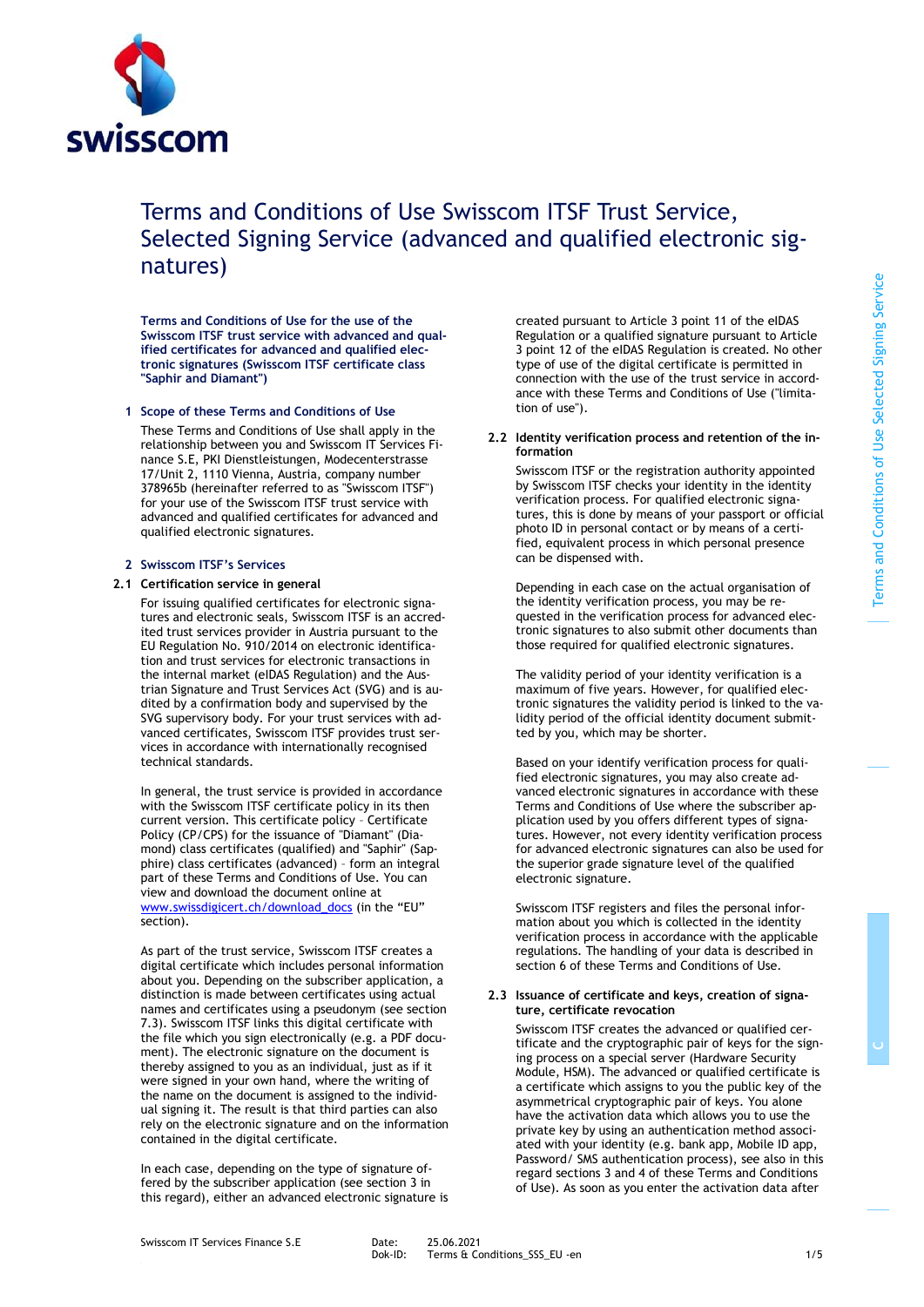

# Terms and Conditions of Use Swisscom ITSF Trust Service, Selected Signing Service (advanced and qualified electronic signatures)

**Terms and Conditions of Use for the use of the Swisscom ITSF trust service with advanced and qualified certificates for advanced and qualified electronic signatures (Swisscom ITSF certificate class "Saphir and Diamant")**

## **1 Scope of these Terms and Conditions of Use**

These Terms and Conditions of Use shall apply in the relationship between you and Swisscom IT Services Finance S.E, PKI Dienstleistungen, Modecenterstrasse 17/Unit 2, 1110 Vienna, Austria, company number 378965b (hereinafter referred to as "Swisscom ITSF") for your use of the Swisscom ITSF trust service with advanced and qualified certificates for advanced and qualified electronic signatures.

## **2 Swisscom ITSF's Services**

## **2.1 Certification service in general**

<span id="page-0-0"></span>For issuing qualified certificates for electronic signatures and electronic seals, Swisscom ITSF is an accredited trust services provider in Austria pursuant to the EU Regulation No. 910/2014 on electronic identification and trust services for electronic transactions in the internal market (eIDAS Regulation) and the Austrian Signature and Trust Services Act (SVG) and is audited by a confirmation body and supervised by the SVG supervisory body. For your trust services with advanced certificates, Swisscom ITSF provides trust services in accordance with internationally recognised technical standards.

In general, the trust service is provided in accordance with the Swisscom ITSF certificate policy in its then current version. This certificate policy – Certificate Policy (CP/CPS) for the issuance of "Diamant" (Diamond) class certificates (qualified) and "Saphir" (Sapphire) class certificates (advanced) – form an integral part of these Terms and Conditions of Use. You can view and download the document online at [www.swissdigicert.ch/download\\_docs](http://www.swissdigicert.ch/download_docs) (in the "EU" section).

As part of the trust service, Swisscom ITSF creates a digital certificate which includes personal information about you. Depending on the subscriber application, a distinction is made between certificates using actual names and certificates using a pseudonym (see section 7.3). Swisscom ITSF links this digital certificate with the file which you sign electronically (e.g. a PDF document). The electronic signature on the document is thereby assigned to you as an individual, just as if it were signed in your own hand, where the writing of the name on the document is assigned to the individual signing it. The result is that third parties can also rely on the electronic signature and on the information contained in the digital certificate.

In each case, depending on the type of signature offered by the subscriber application (see section 3 in this regard), either an advanced electronic signature is created pursuant to Article 3 point 11 of the eIDAS Regulation or a qualified signature pursuant to Article 3 point 12 of the eIDAS Regulation is created. No other type of use of the digital certificate is permitted in connection with the use of the trust service in accordance with these Terms and Conditions of Use ("limitation of use").

## **2.2 Identity verification process and retention of the information**

Swisscom ITSF or the registration authority appointed by Swisscom ITSF checks your identity in the identity verification process. For qualified electronic signatures, this is done by means of your passport or official photo ID in personal contact or by means of a certified, equivalent process in which personal presence can be dispensed with.

Depending in each case on the actual organisation of the identity verification process, you may be requested in the verification process for advanced electronic signatures to also submit other documents than those required for qualified electronic signatures.

The validity period of your identity verification is a maximum of five years. However, for qualified electronic signatures the validity period is linked to the validity period of the official identity document submitted by you, which may be shorter.

Based on your identify verification process for qualified electronic signatures, you may also create advanced electronic signatures in accordance with these Terms and Conditions of Use where the subscriber application used by you offers different types of signatures. However, not every identity verification process for advanced electronic signatures can also be used for the superior grade signature level of the qualified electronic signature.

Swisscom ITSF registers and files the personal information about you which is collected in the identity verification process in accordance with the applicable regulations. The handling of your data is described in section 6 of these Terms and Conditions of Use.

## **2.3 Issuance of certificate and keys, creation of signature, certificate revocation**

Swisscom ITSF creates the advanced or qualified certificate and the cryptographic pair of keys for the signing process on a special server (Hardware Security Module, HSM). The advanced or qualified certificate is a certificate which assigns to you the public key of the asymmetrical cryptographic pair of keys. You alone have the activation data which allows you to use the private key by using an authentication method associated with your identity (e.g. bank app, Mobile ID app, Password/ SMS authentication process), see also in this regard section[s 3](#page-1-0) an[d 4](#page-1-1) of these Terms and Conditions of Use). As soon as you enter the activation data after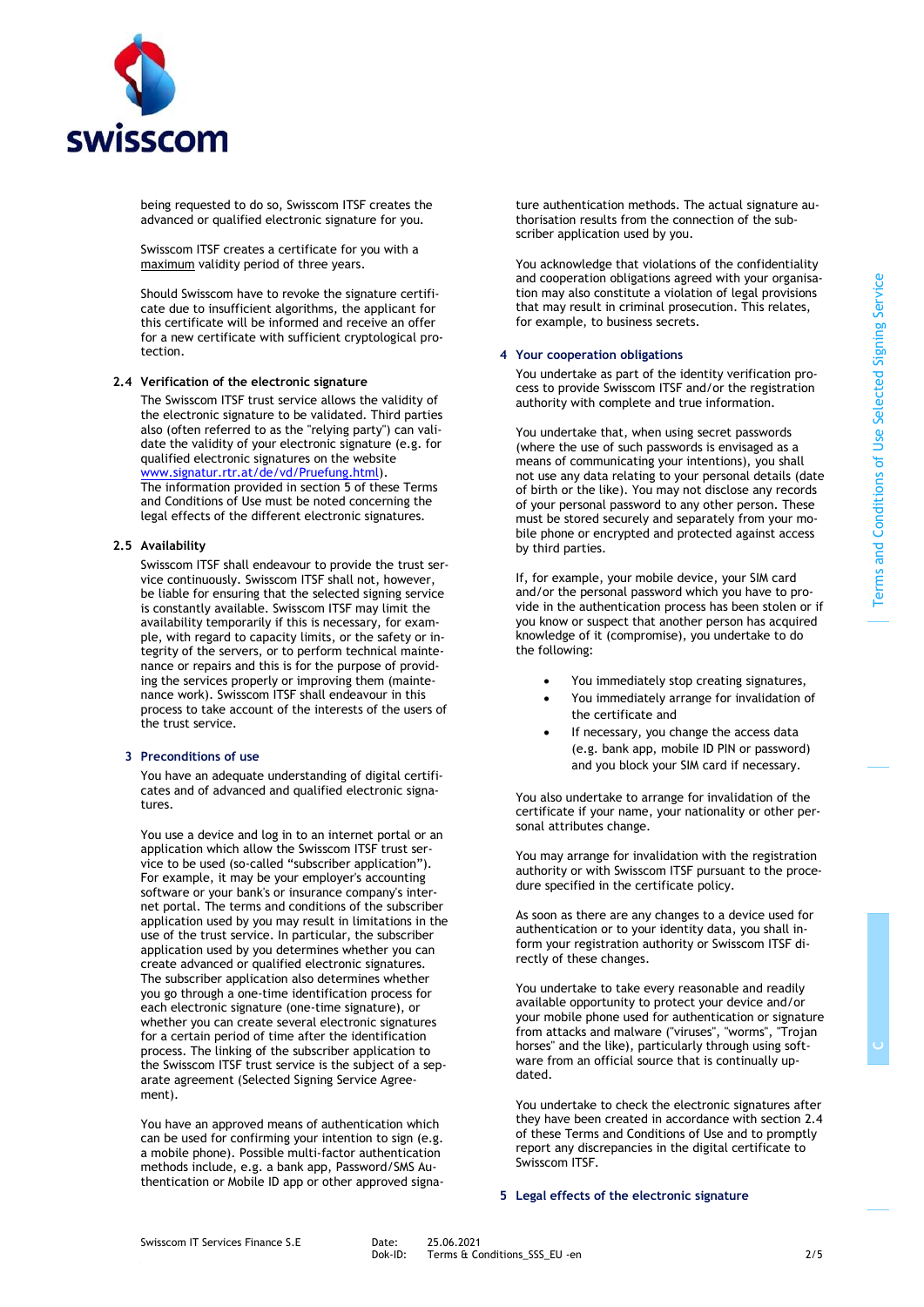

being requested to do so, Swisscom ITSF creates the advanced or qualified electronic signature for you.

Swisscom ITSF creates a certificate for you with a maximum validity period of three years.

Should Swisscom have to revoke the signature certificate due to insufficient algorithms, the applicant for this certificate will be informed and receive an offer for a new certificate with sufficient cryptological protection.

#### **2.4 Verification of the electronic signature**

<span id="page-1-3"></span>The Swisscom ITSF trust service allows the validity of the electronic signature to be validated. Third parties also (often referred to as the "relying party") can validate the validity of your electronic signature (e.g. for qualified electronic signatures on the website [www.signatur.rtr.at/de/vd/Pruefung.html\)](http://www.signatur.rtr.at/de/vd/Pruefung.html). The information provided in section [5](#page-1-2) of these Terms and Conditions of Use must be noted concerning the legal effects of the different electronic signatures.

#### **2.5 Availability**

Swisscom ITSF shall endeavour to provide the trust service continuously. Swisscom ITSF shall not, however, be liable for ensuring that the selected signing service is constantly available. Swisscom ITSF may limit the availability temporarily if this is necessary, for example, with regard to capacity limits, or the safety or integrity of the servers, or to perform technical maintenance or repairs and this is for the purpose of providing the services properly or improving them (maintenance work). Swisscom ITSF shall endeavour in this process to take account of the interests of the users of .<br>the trust service.

#### <span id="page-1-0"></span>**3 Preconditions of use**

You have an adequate understanding of digital certificates and of advanced and qualified electronic signatures.

You use a device and log in to an internet portal or an application which allow the Swisscom ITSF trust service to be used (so-called "subscriber application"). For example, it may be your employer's accounting software or your bank's or insurance company's internet portal. The terms and conditions of the subscriber application used by you may result in limitations in the use of the trust service. In particular, the subscriber application used by you determines whether you can create advanced or qualified electronic signatures. The subscriber application also determines whether you go through a one-time identification process for each electronic signature (one-time signature), or whether you can create several electronic signatures for a certain period of time after the identification process. The linking of the subscriber application to the Swisscom ITSF trust service is the subject of a separate agreement (Selected Signing Service Agreement).

You have an approved means of authentication which can be used for confirming your intention to sign (e.g. a mobile phone). Possible multi-factor authentication methods include, e.g. a bank app, Password/SMS Authentication or Mobile ID app or other approved signature authentication methods. The actual signature authorisation results from the connection of the subscriber application used by you.

You acknowledge that violations of the confidentiality and cooperation obligations agreed with your organisation may also constitute a violation of legal provisions that may result in criminal prosecution. This relates, for example, to business secrets.

#### <span id="page-1-1"></span>**4 Your cooperation obligations**

You undertake as part of the identity verification process to provide Swisscom ITSF and/or the registration authority with complete and true information.

You undertake that, when using secret passwords (where the use of such passwords is envisaged as a means of communicating your intentions), you shall not use any data relating to your personal details (date of birth or the like). You may not disclose any records of your personal password to any other person. These must be stored securely and separately from your mobile phone or encrypted and protected against access by third parties.

If, for example, your mobile device, your SIM card and/or the personal password which you have to provide in the authentication process has been stolen or if you know or suspect that another person has acquired knowledge of it (compromise), you undertake to do the following:

- You immediately stop creating signatures,
- You immediately arrange for invalidation of the certificate and
- If necessary, you change the access data (e.g. bank app, mobile ID PIN or password) and you block your SIM card if necessary.

You also undertake to arrange for invalidation of the certificate if your name, your nationality or other personal attributes change.

You may arrange for invalidation with the registration authority or with Swisscom ITSF pursuant to the procedure specified in the certificate policy.

As soon as there are any changes to a device used for authentication or to your identity data, you shall inform your registration authority or Swisscom ITSF directly of these changes.

You undertake to take every reasonable and readily available opportunity to protect your device and/or your mobile phone used for authentication or signature from attacks and malware ("viruses", "worms", "Trojan horses" and the like), particularly through using software from an official source that is continually updated.

You undertake to check the electronic signatures after they have been created in accordance with sectio[n 2.4](#page-1-3) of these Terms and Conditions of Use and to promptly report any discrepancies in the digital certificate to Swisscom ITSF.

#### <span id="page-1-2"></span>**5 Legal effects of the electronic signature**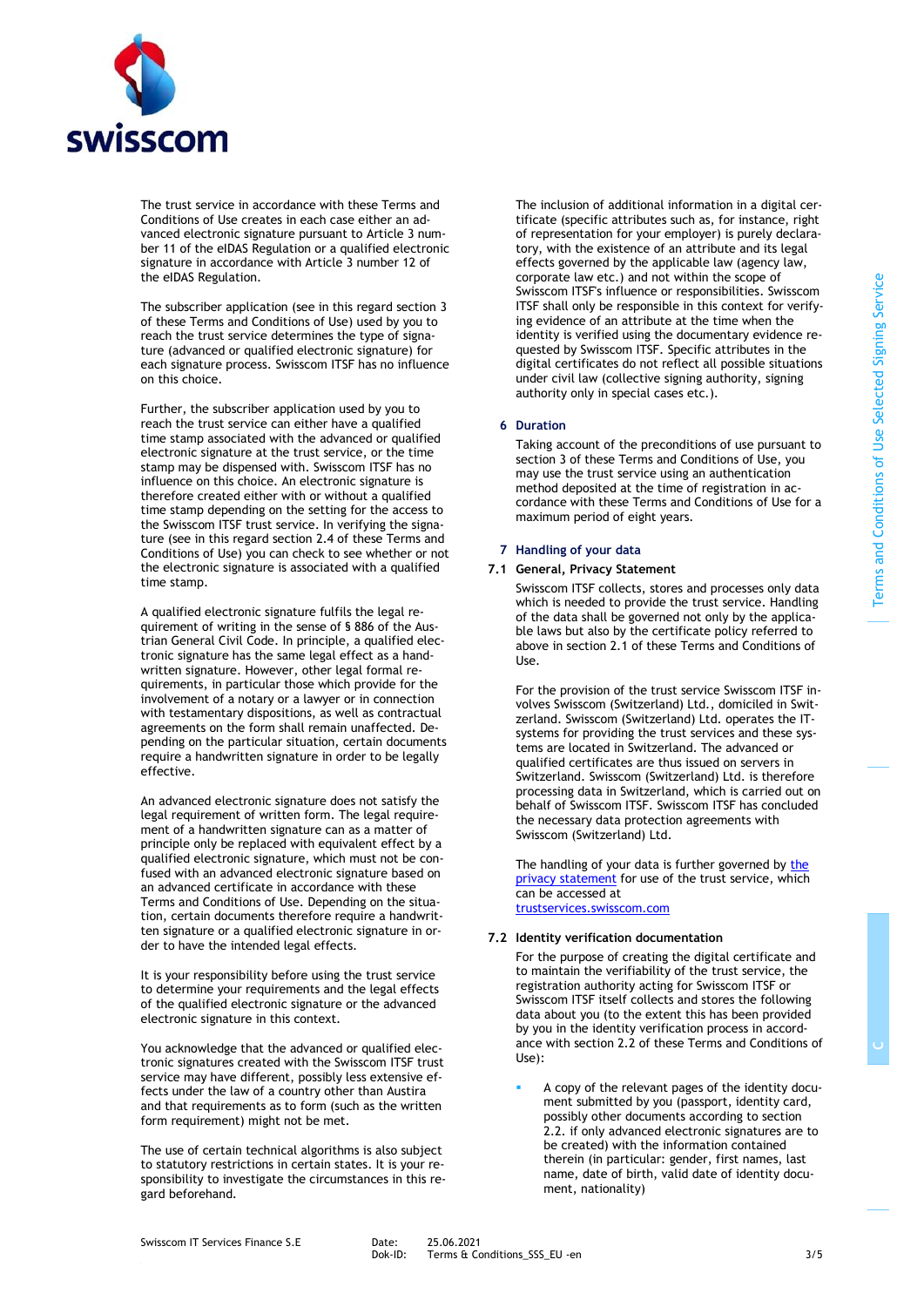

The trust service in accordance with these Terms and Conditions of Use creates in each case either an advanced electronic signature pursuant to Article 3 number 11 of the eIDAS Regulation or a qualified electronic signature in accordance with Article 3 number 12 of the eIDAS Regulation.

The subscriber application (see in this regard sectio[n 3](#page-1-0) of these Terms and Conditions of Use) used by you to reach the trust service determines the type of signature (advanced or qualified electronic signature) for each signature process. Swisscom ITSF has no influence on this choice.

Further, the subscriber application used by you to reach the trust service can either have a qualified time stamp associated with the advanced or qualified electronic signature at the trust service, or the time stamp may be dispensed with. Swisscom ITSF has no influence on this choice. An electronic signature is therefore created either with or without a qualified time stamp depending on the setting for the access to the Swisscom ITSF trust service. In verifying the signature (see in this regard sectio[n 2.4](#page-1-3) of these Terms and Conditions of Use) you can check to see whether or not the electronic signature is associated with a qualified time stamp.

A qualified electronic signature fulfils the legal requirement of writing in the sense of § 886 of the Austrian General Civil Code. In principle, a qualified electronic signature has the same legal effect as a handwritten signature. However, other legal formal requirements, in particular those which provide for the involvement of a notary or a lawyer or in connection with testamentary dispositions, as well as contractual agreements on the form shall remain unaffected. Depending on the particular situation, certain documents require a handwritten signature in order to be legally effective.

An advanced electronic signature does not satisfy the legal requirement of written form. The legal requirement of a handwritten signature can as a matter of principle only be replaced with equivalent effect by a qualified electronic signature, which must not be confused with an advanced electronic signature based on an advanced certificate in accordance with these Terms and Conditions of Use. Depending on the situation, certain documents therefore require a handwritten signature or a qualified electronic signature in order to have the intended legal effects.

It is your responsibility before using the trust service to determine your requirements and the legal effects of the qualified electronic signature or the advanced electronic signature in this context.

You acknowledge that the advanced or qualified electronic signatures created with the Swisscom ITSF trust service may have different, possibly less extensive effects under the law of a country other than Austira and that requirements as to form (such as the written form requirement) might not be met.

The use of certain technical algorithms is also subject to statutory restrictions in certain states. It is your responsibility to investigate the circumstances in this regard beforehand.

The inclusion of additional information in a digital certificate (specific attributes such as, for instance, right of representation for your employer) is purely declaratory, with the existence of an attribute and its legal effects governed by the applicable law (agency law, corporate law etc.) and not within the scope of Swisscom ITSF's influence or responsibilities. Swisscom ITSF shall only be responsible in this context for verifying evidence of an attribute at the time when the identity is verified using the documentary evidence requested by Swisscom ITSF. Specific attributes in the digital certificates do not reflect all possible situations under civil law (collective signing authority, signing authority only in special cases etc.).

#### <span id="page-2-1"></span>**6 Duration**

Taking account of the preconditions of use pursuant to sectio[n 3](#page-1-0) of these Terms and Conditions of Use, you may use the trust service using an authentication method deposited at the time of registration in accordance with these Terms and Conditions of Use for a maximum period of eight years.

## **7 Handling of your data**

#### **7.1 General, Privacy Statement**

Swisscom ITSF collects, stores and processes only data which is needed to provide the trust service. Handling of the data shall be governed not only by the applicable laws but also by the certificate policy referred to above in section [2.1](#page-0-0) of these Terms and Conditions of  $II$ se.

For the provision of the trust service Swisscom ITSF involves Swisscom (Switzerland) Ltd., domiciled in Switzerland. Swisscom (Switzerland) Ltd. operates the ITsystems for providing the trust services and these systems are located in Switzerland. The advanced or qualified certificates are thus issued on servers in Switzerland. Swisscom (Switzerland) Ltd. is therefore processing data in Switzerland, which is carried out on behalf of Swisscom ITSF. Swisscom ITSF has concluded the necessary data protection agreements with Swisscom (Switzerland) Ltd.

The handling of your data is further governed by [the](http://documents.swisscom.com/product/filestore/lib/b95cda36-6275-426c-ae8b-d5104ea11dbe/GDPR-CH-en.pdf)  [privacy statement](http://documents.swisscom.com/product/filestore/lib/b95cda36-6275-426c-ae8b-d5104ea11dbe/GDPR-CH-en.pdf) for use of the trust service, which can be accessed at [trustservices.swisscom.com](https://trustservices.swisscom.com/downloads/)

## **7.2 Identity verification documentation**

<span id="page-2-0"></span>For the purpose of creating the digital certificate and to maintain the verifiability of the trust service, the registration authority acting for Swisscom ITSF or Swisscom ITSF itself collects and stores the following data about you (to the extent this has been provided by you in the identity verification process in accordance with section 2.2 of these Terms and Conditions of Use):

A copy of the relevant pages of the identity document submitted by you (passport, identity card, possibly other documents according to section 2.2. if only advanced electronic signatures are to be created) with the information contained therein (in particular: gender, first names, last name, date of birth, valid date of identity document, nationality)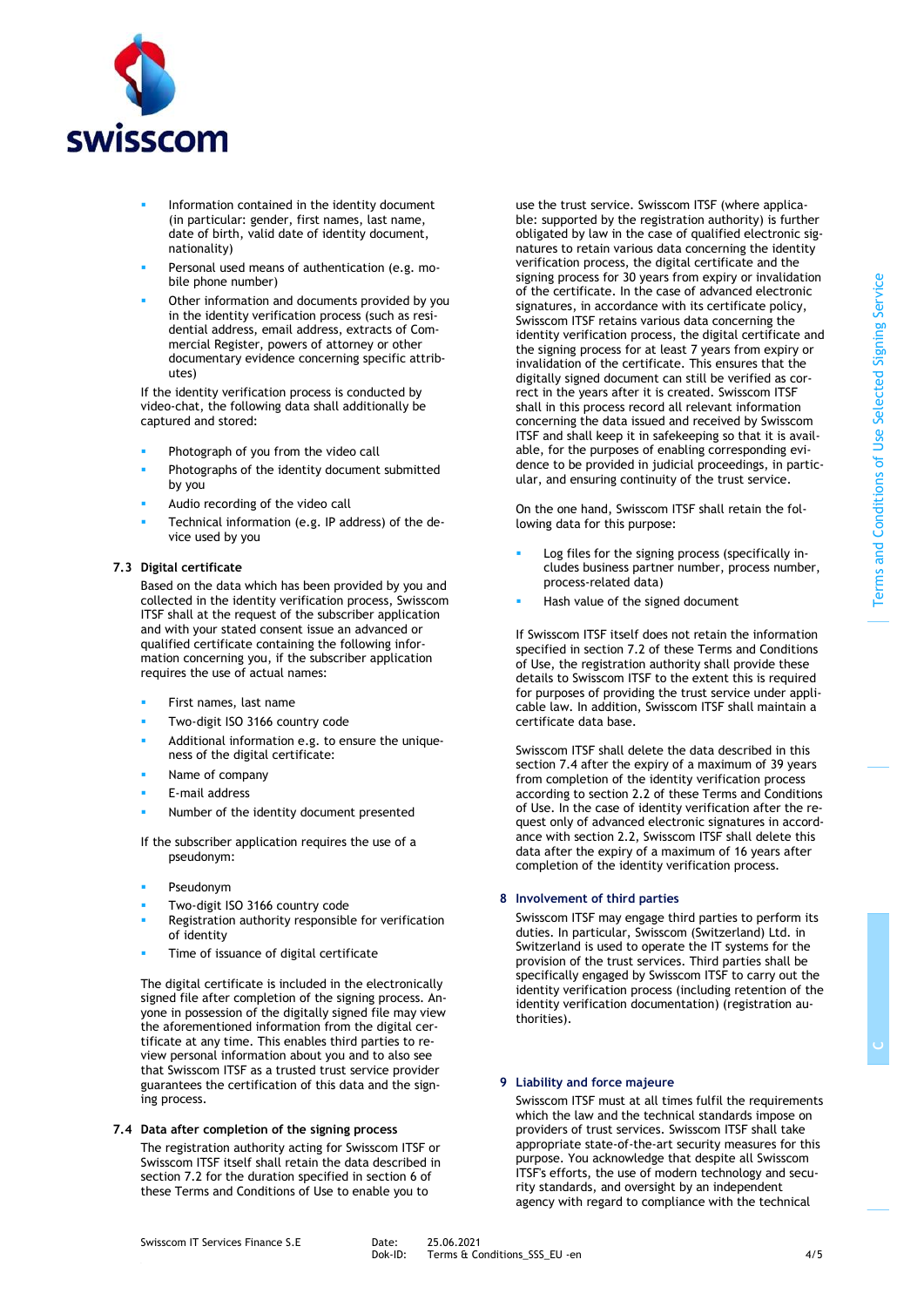

- Information contained in the identity document (in particular: gender, first names, last name, date of birth, valid date of identity document, nationality)
- Personal used means of authentication (e.g. mobile phone number)
- Other information and documents provided by you in the identity verification process (such as residential address, email address, extracts of Commercial Register, powers of attorney or other documentary evidence concerning specific attributes)

If the identity verification process is conducted by video-chat, the following data shall additionally be captured and stored:

- Photograph of you from the video call
- Photographs of the identity document submitted by you
- Audio recording of the video call
- Technical information (e.g. IP address) of the device used by you

## **7.3 Digital certificate**

Based on the data which has been provided by you and collected in the identity verification process, Swisscom ITSF shall at the request of the subscriber application and with your stated consent issue an advanced or qualified certificate containing the following information concerning you, if the subscriber application requires the use of actual names:

- First names, last name
- Two-digit ISO 3166 country code
- Additional information e.g. to ensure the uniqueness of the digital certificate:
- Name of company
- E-mail address
- Number of the identity document presented

If the subscriber application requires the use of a pseudonym:

- **Pseudonym**
- Two-digit ISO 3166 country code
- Registration authority responsible for verification of identity
- Time of issuance of digital certificate

The digital certificate is included in the electronically signed file after completion of the signing process. Anyone in possession of the digitally signed file may view the aforementioned information from the digital certificate at any time. This enables third parties to review personal information about you and to also see that Swisscom ITSF as a trusted trust service provider guarantees the certification of this data and the signing process.

## **7.4 Data after completion of the signing process**

The registration authority acting for Swisscom ITSF or Swisscom ITSF itself shall retain the data described in section [7.2](#page-2-0) for the duration specified in section [6](#page-2-1) of these Terms and Conditions of Use to enable you to

use the trust service. Swisscom ITSF (where applicable: supported by the registration authority) is further obligated by law in the case of qualified electronic signatures to retain various data concerning the identity verification process, the digital certificate and the signing process for 30 years from expiry or invalidation of the certificate. In the case of advanced electronic signatures, in accordance with its certificate policy, Swisscom ITSF retains various data concerning the identity verification process, the digital certificate and the signing process for at least 7 years from expiry or invalidation of the certificate. This ensures that the digitally signed document can still be verified as correct in the years after it is created. Swisscom ITSF shall in this process record all relevant information concerning the data issued and received by Swisscom ITSF and shall keep it in safekeeping so that it is available, for the purposes of enabling corresponding evidence to be provided in judicial proceedings, in particular, and ensuring continuity of the trust service.

On the one hand, Swisscom ITSF shall retain the following data for this purpose:

- Log files for the signing process (specifically includes business partner number, process number, process-related data)
- Hash value of the signed document

If Swisscom ITSF itself does not retain the information specified in section [7.2](#page-2-0) of these Terms and Conditions of Use, the registration authority shall provide these details to Swisscom ITSF to the extent this is required for purposes of providing the trust service under applicable law. In addition, Swisscom ITSF shall maintain a certificate data base.

Swisscom ITSF shall delete the data described in this section 7.4 after the expiry of a maximum of 39 years from completion of the identity verification process according to section 2.2 of these Terms and Conditions of Use. In the case of identity verification after the request only of advanced electronic signatures in accordance with section 2.2, Swisscom ITSF shall delete this data after the expiry of a maximum of 16 years after completion of the identity verification process.

## **8 Involvement of third parties**

Swisscom ITSF may engage third parties to perform its duties. In particular, Swisscom (Switzerland) Ltd. in Switzerland is used to operate the IT systems for the provision of the trust services. Third parties shall be specifically engaged by Swisscom ITSF to carry out the identity verification process (including retention of the identity verification documentation) (registration authorities).

## **9 Liability and force majeure**

Swisscom ITSF must at all times fulfil the requirements which the law and the technical standards impose on providers of trust services. Swisscom ITSF shall take appropriate state-of-the-art security measures for this purpose. You acknowledge that despite all Swisscom ITSF's efforts, the use of modern technology and security standards, and oversight by an independent agency with regard to compliance with the technical